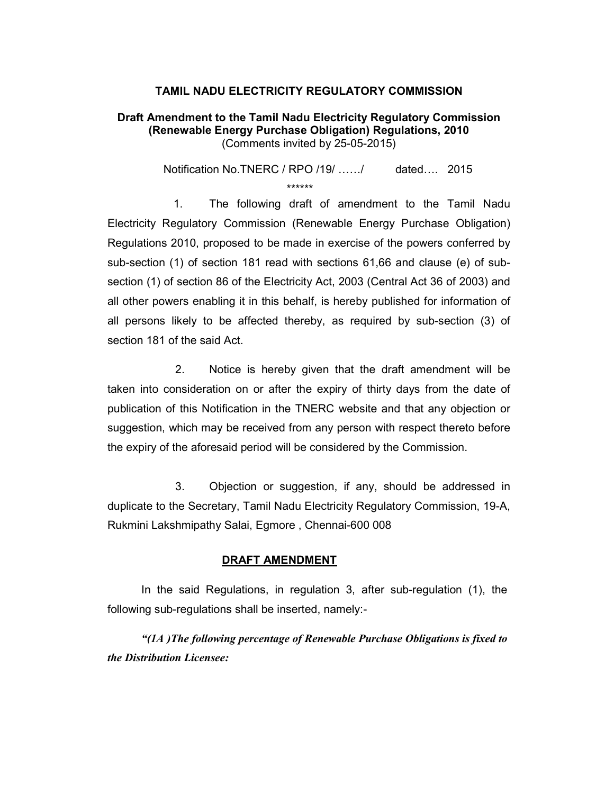## TAMIL NADU ELECTRICITY REGULATORY COMMISSION

## Draft Amendment to the Tamil Nadu Electricity Regulatory Commission (Renewable Energy Purchase Obligation) Regulations, 2010 (Comments invited by 25-05-2015)

Notification No.TNERC / RPO /19/ ....../ dated.... 2015 \*\*\*\*\*\*

 1. The following draft of amendment to the Tamil Nadu Electricity Regulatory Commission (Renewable Energy Purchase Obligation) Regulations 2010, proposed to be made in exercise of the powers conferred by sub-section (1) of section 181 read with sections 61,66 and clause (e) of subsection (1) of section 86 of the Electricity Act, 2003 (Central Act 36 of 2003) and all other powers enabling it in this behalf, is hereby published for information of all persons likely to be affected thereby, as required by sub-section (3) of section 181 of the said Act.

 2. Notice is hereby given that the draft amendment will be taken into consideration on or after the expiry of thirty days from the date of publication of this Notification in the TNERC website and that any objection or suggestion, which may be received from any person with respect thereto before the expiry of the aforesaid period will be considered by the Commission.

 3. Objection or suggestion, if any, should be addressed in duplicate to the Secretary, Tamil Nadu Electricity Regulatory Commission, 19-A, Rukmini Lakshmipathy Salai, Egmore , Chennai-600 008

## DRAFT AMENDMENT

In the said Regulations, in regulation 3, after sub-regulation (1), the following sub-regulations shall be inserted, namely:-

"(1A )The following percentage of Renewable Purchase Obligations is fixed to the Distribution Licensee: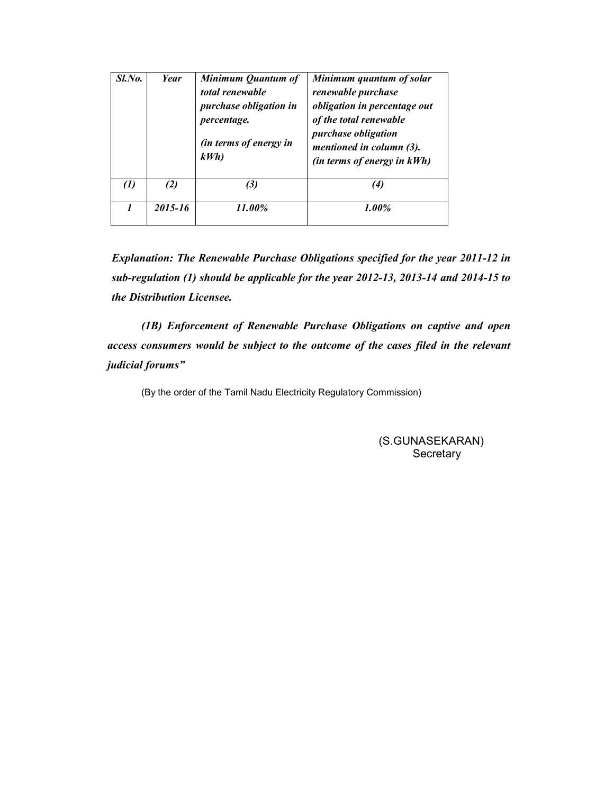| Sl.No. | Year    | Minimum Quantum of<br>total renewable<br><i>purchase obligation in</i><br><i>percentage.</i><br><i>(in terms of energy in</i><br>kWh | Minimum quantum of solar<br>renewable purchase<br>obligation in percentage out<br>of the total renewable<br><i>purchase obligation</i><br>mentioned in column (3).<br>(in terms of energy in kWh) |
|--------|---------|--------------------------------------------------------------------------------------------------------------------------------------|---------------------------------------------------------------------------------------------------------------------------------------------------------------------------------------------------|
| (1)    | (2)     | (3)                                                                                                                                  | (4)                                                                                                                                                                                               |
| 1      | 2015-16 | 11.00%                                                                                                                               | $1.00\%$                                                                                                                                                                                          |

Explanation: The Renewable Purchase Obligations specified for the year 2011-12 in sub-regulation (1) should be applicable for the year 2012-13, 2013-14 and 2014-15 to the Distribution Licensee.

(1B) Enforcement of Renewable Purchase Obligations on captive and open access consumers would be subject to the outcome of the cases filed in the relevant judicial forums"

(By the order of the Tamil Nadu Electricity Regulatory Commission)

 (S.GUNASEKARAN) **Secretary**